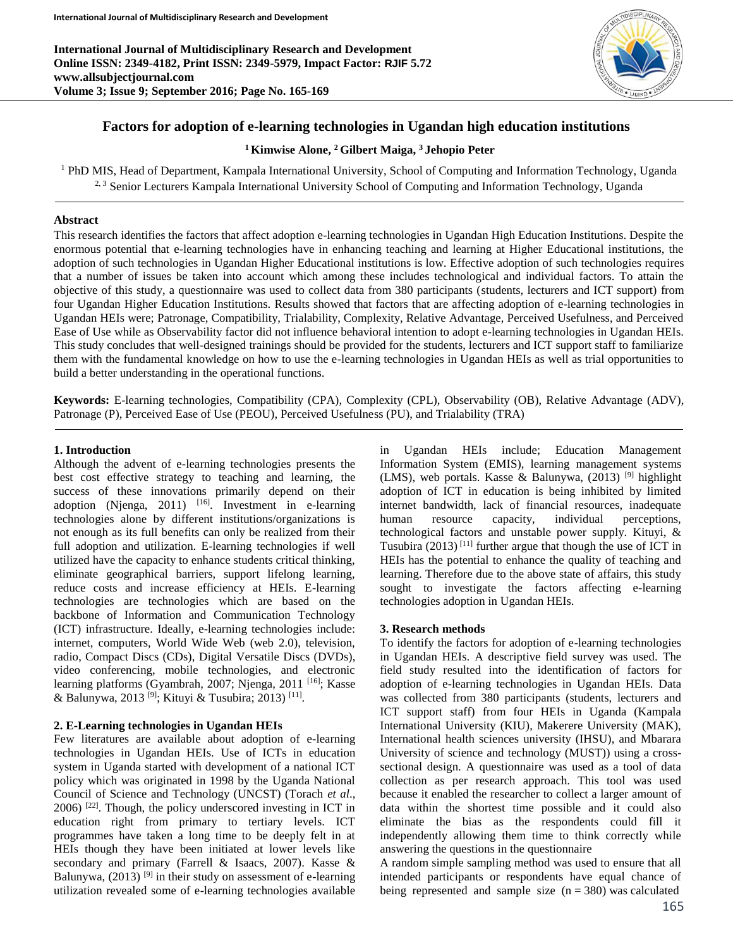**International Journal of Multidisciplinary Research and Development Online ISSN: 2349-4182, Print ISSN: 2349-5979, Impact Factor: RJIF 5.72 www.allsubjectjournal.com Volume 3; Issue 9; September 2016; Page No. 165-169**



# **Factors for adoption of e-learning technologies in Ugandan high education institutions**

## **<sup>1</sup>Kimwise Alone, <sup>2</sup> Gilbert Maiga, <sup>3</sup> Jehopio Peter**

<sup>1</sup> PhD MIS, Head of Department, Kampala International University, School of Computing and Information Technology, Uganda <sup>2, 3</sup> Senior Lecturers Kampala International University School of Computing and Information Technology, Uganda

## **Abstract**

This research identifies the factors that affect adoption e-learning technologies in Ugandan High Education Institutions. Despite the enormous potential that e-learning technologies have in enhancing teaching and learning at Higher Educational institutions, the adoption of such technologies in Ugandan Higher Educational institutions is low. Effective adoption of such technologies requires that a number of issues be taken into account which among these includes technological and individual factors. To attain the objective of this study, a questionnaire was used to collect data from 380 participants (students, lecturers and ICT support) from four Ugandan Higher Education Institutions. Results showed that factors that are affecting adoption of e-learning technologies in Ugandan HEIs were; Patronage, Compatibility, Trialability, Complexity, Relative Advantage, Perceived Usefulness, and Perceived Ease of Use while as Observability factor did not influence behavioral intention to adopt e-learning technologies in Ugandan HEIs. This study concludes that well-designed trainings should be provided for the students, lecturers and ICT support staff to familiarize them with the fundamental knowledge on how to use the e-learning technologies in Ugandan HEIs as well as trial opportunities to build a better understanding in the operational functions.

**Keywords:** E-learning technologies, Compatibility (CPA), Complexity (CPL), Observability (OB), Relative Advantage (ADV), Patronage (P), Perceived Ease of Use (PEOU), Perceived Usefulness (PU), and Trialability (TRA)

### **1. Introduction**

Although the advent of e-learning technologies presents the best cost effective strategy to teaching and learning, the success of these innovations primarily depend on their adoption (Njenga, 2011)  $[16]$ . Investment in e-learning technologies alone by different institutions/organizations is not enough as its full benefits can only be realized from their full adoption and utilization. E-learning technologies if well utilized have the capacity to enhance students critical thinking, eliminate geographical barriers, support lifelong learning, reduce costs and increase efficiency at HEIs. E-learning technologies are technologies which are based on the backbone of Information and Communication Technology (ICT) infrastructure. Ideally, e-learning technologies include: internet, computers, World Wide Web (web 2.0), television, radio, Compact Discs (CDs), Digital Versatile Discs (DVDs), video conferencing, mobile technologies, and electronic learning platforms (Gyambrah, 2007; Njenga, 2011<sup>[16]</sup>; Kasse & Balunywa, 2013<sup>[9]</sup>; Kituyi & Tusubira; 2013)<sup>[11]</sup>.

## **2. E-Learning technologies in Ugandan HEIs**

Few literatures are available about adoption of e-learning technologies in Ugandan HEIs. Use of ICTs in education system in Uganda started with development of a national ICT policy which was originated in 1998 by the Uganda National Council of Science and Technology (UNCST) (Torach *et al*.,  $2006$ )  $[22]$ . Though, the policy underscored investing in ICT in education right from primary to tertiary levels. ICT programmes have taken a long time to be deeply felt in at HEIs though they have been initiated at lower levels like secondary and primary (Farrell & Isaacs, 2007). Kasse & Balunywa,  $(2013)$ <sup>[9]</sup> in their study on assessment of e-learning utilization revealed some of e-learning technologies available

in Ugandan HEIs include; Education Management Information System (EMIS), learning management systems (LMS), web portals. Kasse & Balunywa,  $(2013)$ <sup>[9]</sup> highlight adoption of ICT in education is being inhibited by limited internet bandwidth, lack of financial resources, inadequate human resource capacity, individual perceptions, technological factors and unstable power supply. Kituyi, & Tusubira  $(2013)$ <sup>[11]</sup> further argue that though the use of ICT in HEIs has the potential to enhance the quality of teaching and learning. Therefore due to the above state of affairs, this study sought to investigate the factors affecting e-learning technologies adoption in Ugandan HEIs.

## **3. Research methods**

To identify the factors for adoption of e-learning technologies in Ugandan HEIs. A descriptive field survey was used. The field study resulted into the identification of factors for adoption of e-learning technologies in Ugandan HEIs. Data was collected from 380 participants (students, lecturers and ICT support staff) from four HEIs in Uganda (Kampala International University (KIU), Makerere University (MAK), International health sciences university (IHSU), and Mbarara University of science and technology (MUST)) using a crosssectional design. A questionnaire was used as a tool of data collection as per research approach. This tool was used because it enabled the researcher to collect a larger amount of data within the shortest time possible and it could also eliminate the bias as the respondents could fill it independently allowing them time to think correctly while answering the questions in the questionnaire

A random simple sampling method was used to ensure that all intended participants or respondents have equal chance of being represented and sample size  $(n = 380)$  was calculated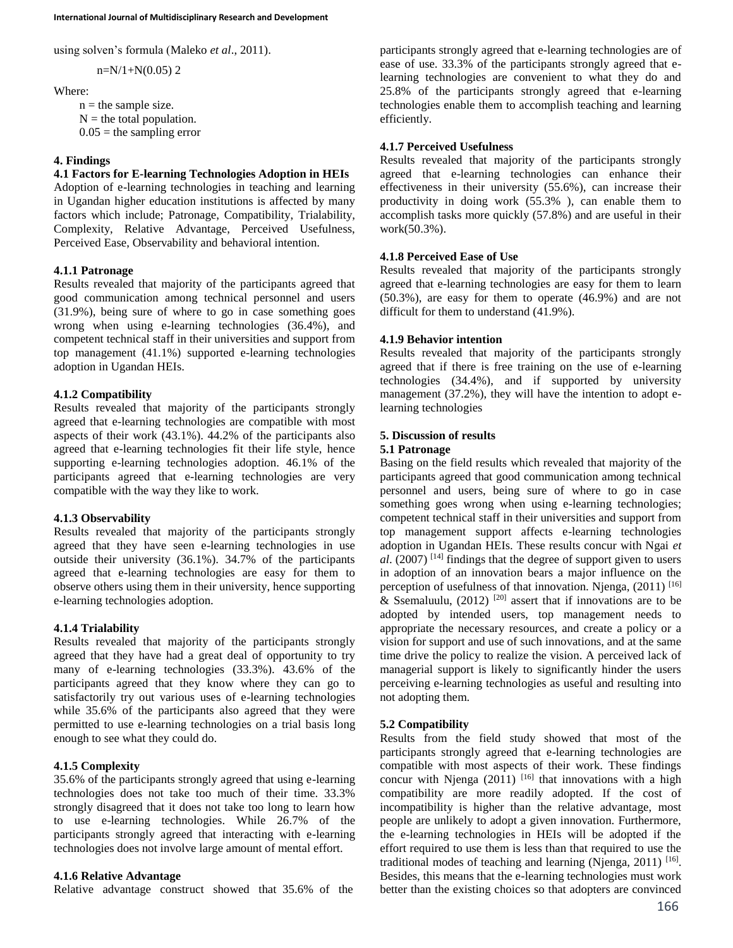using solven's formula (Maleko *et al*., 2011).

 $n=N/1+N(0.05)$  2

## Where:

 $n =$  the sample size.  $N =$  the total population.  $0.05$  = the sampling error

## **4. Findings**

## **4.1 Factors for E-learning Technologies Adoption in HEIs**

Adoption of e-learning technologies in teaching and learning in Ugandan higher education institutions is affected by many factors which include; Patronage, Compatibility, Trialability, Complexity, Relative Advantage, Perceived Usefulness, Perceived Ease, Observability and behavioral intention.

## **4.1.1 Patronage**

Results revealed that majority of the participants agreed that good communication among technical personnel and users (31.9%), being sure of where to go in case something goes wrong when using e-learning technologies (36.4%), and competent technical staff in their universities and support from top management (41.1%) supported e-learning technologies adoption in Ugandan HEIs.

## **4.1.2 Compatibility**

Results revealed that majority of the participants strongly agreed that e-learning technologies are compatible with most aspects of their work (43.1%). 44.2% of the participants also agreed that e-learning technologies fit their life style, hence supporting e-learning technologies adoption. 46.1% of the participants agreed that e-learning technologies are very compatible with the way they like to work.

## **4.1.3 Observability**

Results revealed that majority of the participants strongly agreed that they have seen e-learning technologies in use outside their university (36.1%). 34.7% of the participants agreed that e-learning technologies are easy for them to observe others using them in their university, hence supporting e-learning technologies adoption.

# **4.1.4 Trialability**

Results revealed that majority of the participants strongly agreed that they have had a great deal of opportunity to try many of e-learning technologies (33.3%). 43.6% of the participants agreed that they know where they can go to satisfactorily try out various uses of e-learning technologies while 35.6% of the participants also agreed that they were permitted to use e-learning technologies on a trial basis long enough to see what they could do.

# **4.1.5 Complexity**

35.6% of the participants strongly agreed that using e-learning technologies does not take too much of their time. 33.3% strongly disagreed that it does not take too long to learn how to use e-learning technologies. While 26.7% of the participants strongly agreed that interacting with e-learning technologies does not involve large amount of mental effort.

## **4.1.6 Relative Advantage**

Relative advantage construct showed that 35.6% of the

participants strongly agreed that e-learning technologies are of ease of use. 33.3% of the participants strongly agreed that elearning technologies are convenient to what they do and 25.8% of the participants strongly agreed that e-learning technologies enable them to accomplish teaching and learning efficiently.

## **4.1.7 Perceived Usefulness**

Results revealed that majority of the participants strongly agreed that e-learning technologies can enhance their effectiveness in their university (55.6%), can increase their productivity in doing work (55.3% ), can enable them to accomplish tasks more quickly (57.8%) and are useful in their work(50.3%).

## **4.1.8 Perceived Ease of Use**

Results revealed that majority of the participants strongly agreed that e-learning technologies are easy for them to learn (50.3%), are easy for them to operate (46.9%) and are not difficult for them to understand (41.9%).

# **4.1.9 Behavior intention**

Results revealed that majority of the participants strongly agreed that if there is free training on the use of e-learning technologies (34.4%), and if supported by university management (37.2%), they will have the intention to adopt elearning technologies

## **5. Discussion of results**

## **5.1 Patronage**

Basing on the field results which revealed that majority of the participants agreed that good communication among technical personnel and users, being sure of where to go in case something goes wrong when using e-learning technologies; competent technical staff in their universities and support from top management support affects e-learning technologies adoption in Ugandan HEIs. These results concur with Ngai *et al*. (2007) [14] findings that the degree of support given to users in adoption of an innovation bears a major influence on the perception of usefulness of that innovation. Njenga, (2011) [16] & Ssemaluulu,  $(2012)$ <sup>[20]</sup> assert that if innovations are to be adopted by intended users, top management needs to appropriate the necessary resources, and create a policy or a vision for support and use of such innovations, and at the same time drive the policy to realize the vision. A perceived lack of managerial support is likely to significantly hinder the users perceiving e-learning technologies as useful and resulting into not adopting them.

## **5.2 Compatibility**

Results from the field study showed that most of the participants strongly agreed that e-learning technologies are compatible with most aspects of their work. These findings concur with Njenga  $(2011)$ <sup>[16]</sup> that innovations with a high compatibility are more readily adopted. If the cost of incompatibility is higher than the relative advantage, most people are unlikely to adopt a given innovation. Furthermore, the e-learning technologies in HEIs will be adopted if the effort required to use them is less than that required to use the traditional modes of teaching and learning (Njenga, 2011)  $[16]$ . Besides, this means that the e-learning technologies must work better than the existing choices so that adopters are convinced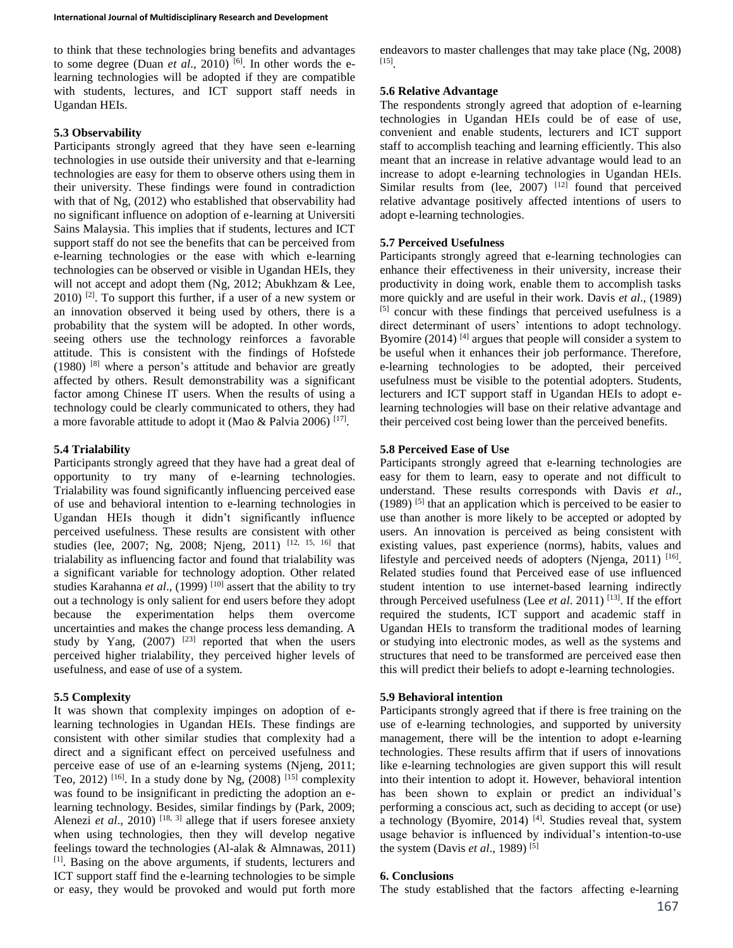to think that these technologies bring benefits and advantages to some degree (Duan *et al.*, 2010)<sup>[6]</sup>. In other words the elearning technologies will be adopted if they are compatible with students, lectures, and ICT support staff needs in Ugandan HEIs.

### **5.3 Observability**

Participants strongly agreed that they have seen e-learning technologies in use outside their university and that e-learning technologies are easy for them to observe others using them in their university. These findings were found in contradiction with that of Ng, (2012) who established that observability had no significant influence on adoption of e-learning at Universiti Sains Malaysia. This implies that if students, lectures and ICT support staff do not see the benefits that can be perceived from e-learning technologies or the ease with which e-learning technologies can be observed or visible in Ugandan HEIs, they will not accept and adopt them (Ng, 2012; Abukhzam & Lee,  $2010$ ) <sup>[2]</sup>. To support this further, if a user of a new system or an innovation observed it being used by others, there is a probability that the system will be adopted. In other words, seeing others use the technology reinforces a favorable attitude. This is consistent with the findings of Hofstede  $(1980)$  <sup>[8]</sup> where a person's attitude and behavior are greatly affected by others. Result demonstrability was a significant factor among Chinese IT users. When the results of using a technology could be clearly communicated to others, they had a more favorable attitude to adopt it (Mao & Palvia 2006) [17].

## **5.4 Trialability**

Participants strongly agreed that they have had a great deal of opportunity to try many of e-learning technologies. Trialability was found significantly influencing perceived ease of use and behavioral intention to e-learning technologies in Ugandan HEIs though it didn't significantly influence perceived usefulness. These results are consistent with other studies (lee, 2007; Ng, 2008; Njeng, 2011) [12, 15, 16] that trialability as influencing factor and found that trialability was a significant variable for technology adoption. Other related studies Karahanna *et al.*, (1999)<sup>[10]</sup> assert that the ability to try out a technology is only salient for end users before they adopt because the experimentation helps them overcome uncertainties and makes the change process less demanding. A study by Yang,  $(2007)$  <sup>[23]</sup> reported that when the users perceived higher trialability, they perceived higher levels of usefulness, and ease of use of a system.

## **5.5 Complexity**

It was shown that complexity impinges on adoption of elearning technologies in Ugandan HEIs. These findings are consistent with other similar studies that complexity had a direct and a significant effect on perceived usefulness and perceive ease of use of an e-learning systems (Njeng, 2011; Teo, 2012) <sup>[16]</sup>. In a study done by Ng,  $(2008)$ <sup>[15]</sup> complexity was found to be insignificant in predicting the adoption an elearning technology. Besides, similar findings by (Park, 2009; Alenezi *et al.*, 2010)  $[18, 3]$  allege that if users foresee anxiety when using technologies, then they will develop negative feelings toward the technologies (Al-alak & Almnawas, 2011) [1]. Basing on the above arguments, if students, lecturers and ICT support staff find the e-learning technologies to be simple or easy, they would be provoked and would put forth more

endeavors to master challenges that may take place (Ng, 2008) [15] .

#### **5.6 Relative Advantage**

The respondents strongly agreed that adoption of e-learning technologies in Ugandan HEIs could be of ease of use, convenient and enable students, lecturers and ICT support staff to accomplish teaching and learning efficiently. This also meant that an increase in relative advantage would lead to an increase to adopt e-learning technologies in Ugandan HEIs. Similar results from (lee,  $2007$ ) <sup>[12]</sup> found that perceived relative advantage positively affected intentions of users to adopt e-learning technologies.

### **5.7 Perceived Usefulness**

Participants strongly agreed that e-learning technologies can enhance their effectiveness in their university, increase their productivity in doing work, enable them to accomplish tasks more quickly and are useful in their work. Davis *et al*., (1989) [5] concur with these findings that perceived usefulness is a direct determinant of users' intentions to adopt technology. Byomire (2014)  $[4]$  argues that people will consider a system to be useful when it enhances their job performance. Therefore, e-learning technologies to be adopted, their perceived usefulness must be visible to the potential adopters. Students, lecturers and ICT support staff in Ugandan HEIs to adopt elearning technologies will base on their relative advantage and their perceived cost being lower than the perceived benefits.

### **5.8 Perceived Ease of Use**

Participants strongly agreed that e-learning technologies are easy for them to learn, easy to operate and not difficult to understand. These results corresponds with Davis *et al*.,  $(1989)$  <sup>[5]</sup> that an application which is perceived to be easier to use than another is more likely to be accepted or adopted by users. An innovation is perceived as being consistent with existing values, past experience (norms), habits, values and lifestyle and perceived needs of adopters (Njenga, 2011)<sup>[16]</sup>. Related studies found that Perceived ease of use influenced student intention to use internet-based learning indirectly through Perceived usefulness (Lee *et al*. 2011) [13]. If the effort required the students, ICT support and academic staff in Ugandan HEIs to transform the traditional modes of learning or studying into electronic modes, as well as the systems and structures that need to be transformed are perceived ease then this will predict their beliefs to adopt e-learning technologies.

#### **5.9 Behavioral intention**

Participants strongly agreed that if there is free training on the use of e-learning technologies, and supported by university management, there will be the intention to adopt e-learning technologies. These results affirm that if users of innovations like e-learning technologies are given support this will result into their intention to adopt it. However, behavioral intention has been shown to explain or predict an individual's performing a conscious act, such as deciding to accept (or use) a technology (Byomire, 2014)<sup>[4]</sup>. Studies reveal that, system usage behavior is influenced by individual's intention-to-use the system (Davis *et al*., 1989) [5]

#### **6. Conclusions**

The study established that the factors affecting e-learning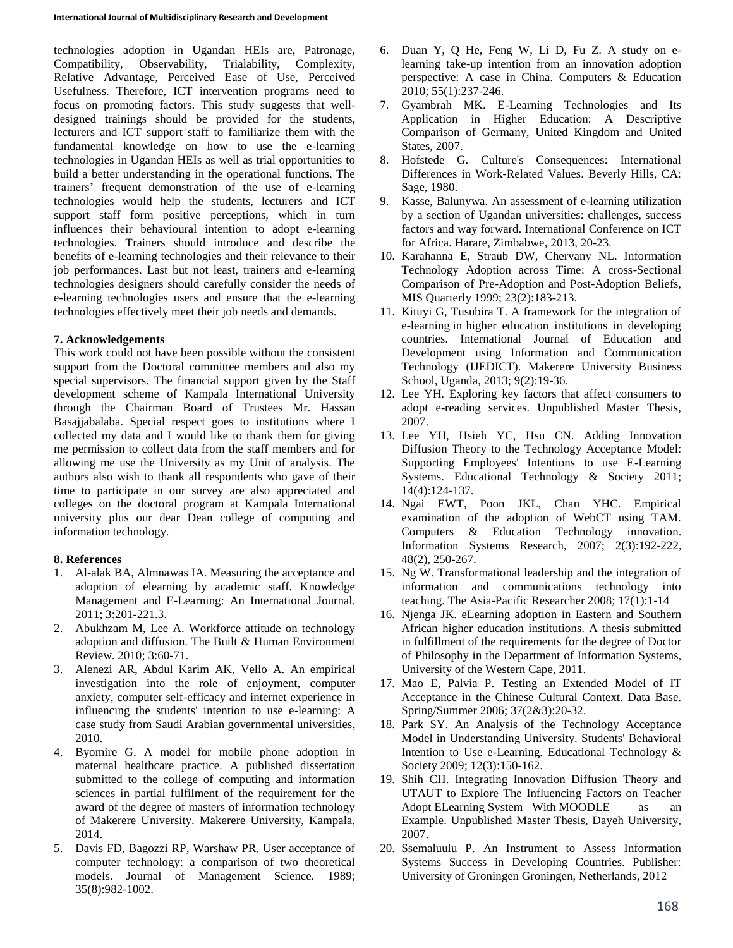technologies adoption in Ugandan HEIs are, Patronage, Compatibility, Observability, Trialability, Complexity, Relative Advantage, Perceived Ease of Use, Perceived Usefulness. Therefore, ICT intervention programs need to focus on promoting factors. This study suggests that welldesigned trainings should be provided for the students, lecturers and ICT support staff to familiarize them with the fundamental knowledge on how to use the e-learning technologies in Ugandan HEIs as well as trial opportunities to build a better understanding in the operational functions. The trainers' frequent demonstration of the use of e-learning technologies would help the students, lecturers and ICT support staff form positive perceptions, which in turn influences their behavioural intention to adopt e-learning technologies. Trainers should introduce and describe the benefits of e-learning technologies and their relevance to their job performances. Last but not least, trainers and e-learning technologies designers should carefully consider the needs of e-learning technologies users and ensure that the e-learning technologies effectively meet their job needs and demands.

# **7. Acknowledgements**

This work could not have been possible without the consistent support from the Doctoral committee members and also my special supervisors. The financial support given by the Staff development scheme of Kampala International University through the Chairman Board of Trustees Mr. Hassan Basajjabalaba. Special respect goes to institutions where I collected my data and I would like to thank them for giving me permission to collect data from the staff members and for allowing me use the University as my Unit of analysis. The authors also wish to thank all respondents who gave of their time to participate in our survey are also appreciated and colleges on the doctoral program at Kampala International university plus our dear Dean college of computing and information technology.

# **8. References**

- 1. Al-alak BA, Almnawas IA. Measuring the acceptance and adoption of elearning by academic staff. Knowledge Management and E-Learning: An International Journal. 2011; 3:201-221.3.
- 2. Abukhzam M, Lee A. Workforce attitude on technology adoption and diffusion. The Built & Human Environment Review. 2010; 3:60-71.
- 3. Alenezi AR, Abdul Karim AK, Vello A. An empirical investigation into the role of enjoyment, computer anxiety, computer self-efficacy and internet experience in influencing the students' intention to use e-learning: A case study from Saudi Arabian governmental universities, 2010.
- 4. Byomire G. A model for mobile phone adoption in maternal healthcare practice. A published dissertation submitted to the college of computing and information sciences in partial fulfilment of the requirement for the award of the degree of masters of information technology of Makerere University. Makerere University, Kampala, 2014.
- 5. Davis FD, Bagozzi RP, Warshaw PR. User acceptance of computer technology: a comparison of two theoretical models. Journal of Management Science. 1989; 35(8):982-1002.
- 6. Duan Y, Q He, Feng W, Li D, Fu Z. A study on elearning take-up intention from an innovation adoption perspective: A case in China. Computers & Education 2010; 55(1):237-246.
- 7. Gyambrah MK. E-Learning Technologies and Its Application in Higher Education: A Descriptive Comparison of Germany, United Kingdom and United States, 2007.
- 8. Hofstede G. Culture's Consequences: International Differences in Work-Related Values. Beverly Hills, CA: Sage, 1980.
- 9. Kasse, Balunywa. An assessment of e-learning utilization by a section of Ugandan universities: challenges, success factors and way forward. International Conference on ICT for Africa. Harare, Zimbabwe, 2013, 20-23.
- 10. Karahanna E, Straub DW, Chervany NL. Information Technology Adoption across Time: A cross-Sectional Comparison of Pre-Adoption and Post-Adoption Beliefs, MIS Quarterly 1999; 23(2):183-213.
- 11. Kituyi G, Tusubira T. A framework for the integration of e-learning in higher education institutions in developing countries. International Journal of Education and Development using Information and Communication Technology (IJEDICT). Makerere University Business School, Uganda, 2013; 9(2):19-36.
- 12. Lee YH. Exploring key factors that affect consumers to adopt e-reading services. Unpublished Master Thesis, 2007.
- 13. Lee YH, Hsieh YC, Hsu CN. Adding Innovation Diffusion Theory to the Technology Acceptance Model: Supporting Employees' Intentions to use E-Learning Systems. Educational Technology & Society 2011; 14(4):124-137.
- 14. Ngai EWT, Poon JKL, Chan YHC. Empirical examination of the adoption of WebCT using TAM. Computers & Education Technology innovation. Information Systems Research, 2007; 2(3):192-222, 48(2), 250-267.
- 15. Ng W. Transformational leadership and the integration of information and communications technology into teaching. The Asia-Pacific Researcher 2008; 17(1):1-14
- 16. Njenga JK. eLearning adoption in Eastern and Southern African higher education institutions. A thesis submitted in fulfillment of the requirements for the degree of Doctor of Philosophy in the Department of Information Systems, University of the Western Cape, 2011.
- 17. Mao E, Palvia P. Testing an Extended Model of IT Acceptance in the Chinese Cultural Context. Data Base. Spring/Summer 2006; 37(2&3):20-32.
- 18. Park SY. An Analysis of the Technology Acceptance Model in Understanding University. Students' Behavioral Intention to Use e-Learning. Educational Technology & Society 2009; 12(3):150-162.
- 19. Shih CH. Integrating Innovation Diffusion Theory and UTAUT to Explore The Influencing Factors on Teacher Adopt ELearning System – With MOODLE as an Example. Unpublished Master Thesis, Dayeh University, 2007.
- 20. Ssemaluulu P. An Instrument to Assess Information Systems Success in Developing Countries. Publisher: University of Groningen Groningen, Netherlands, 2012